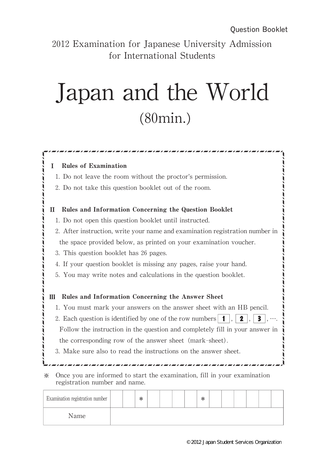2012 Examination for Japanese University Admission for International Students

## Japan and the World (80min.)

쟙쟙쟙쟙쟙쟙쟙쟙쟙쟙쟙쟙쟙쟙쟙

|   | 1. Do not leave the room without the proctor's permission.                   |
|---|------------------------------------------------------------------------------|
|   | 2. Do not take this question booklet out of the room.                        |
| П | Rules and Information Concerning the Question Booklet                        |
|   | 1. Do not open this question booklet until instructed.                       |
|   | 2. After instruction, write your name and examination registration number in |
|   | the space provided below, as printed on your examination voucher.            |
|   | 3. This question booklet has 26 pages.                                       |
|   | 4. If your question booklet is missing any pages, raise your hand.           |
|   | 5. You may write notes and calculations in the question booklet.             |
| Ш | Rules and Information Concerning the Answer Sheet                            |
|   | 1. You must mark your answers on the answer sheet with an HB pencil.         |
|   | 2. Each question is identified by one of the row numbers<br>-1<br>2          |
|   | Follow the instruction in the question and completely fill in your answer in |
|   | the corresponding row of the answer sheet (mark-sheet).                      |
|   | 3. Make sure also to read the instructions on the answer sheet.              |
| ☀ | Once you are informed to start the examination, fill in your examination     |

| Examination registration number |  | ∗ |  |  | v<br>灬 |  |  |  |
|---------------------------------|--|---|--|--|--------|--|--|--|
| Name                            |  |   |  |  |        |  |  |  |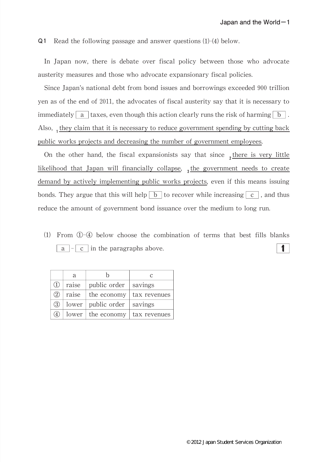Q1 Read the following passage and answer questions (1)-(4) below.

In Japan now, there is debate over fiscal policy between those who advocate austerity measures and those who advocate expansionary fiscal policies.

Since Japan's national debt from bond issues and borrowings exceeded 900 trillion yen as of the end of 2011, the advocates of fiscal austerity say that it is necessary to immediately a taxes, even though this action clearly runs the risk of harming  $\boxed{b}$ . Also,  $_1$  they claim that it is necessary to reduce government spending by cutting back public works projects and decreasing the number of government employees.

On the other hand, the fiscal expansionists say that since  $\frac{1}{2}$  there is very little likelihood that Japan will financially collapse,  $_3$  the government needs to create demand by actively implementing public works projects, even if this means issuing bonds. They argue that this will help  $\vert b \vert$  to recover while increasing  $\vert c \vert$ , and thus reduce the amount of government bond issuance over the medium to long run.

⑴ From ①-④ below choose the combination of terms that best fills blanks  $\blacksquare$  $\overline{a}$  -  $\overline{c}$  in the paragraphs above.

|                     | a     | h                            | $\epsilon$   |
|---------------------|-------|------------------------------|--------------|
| (1)                 | raise | public order $\vert$ savings |              |
| (2)                 | raise | the economy                  | tax revenues |
| $\circled{3}$       |       | lower   public order         | savings      |
| $\langle 4 \rangle$ |       | $lower \mid the economy$     | tax revenues |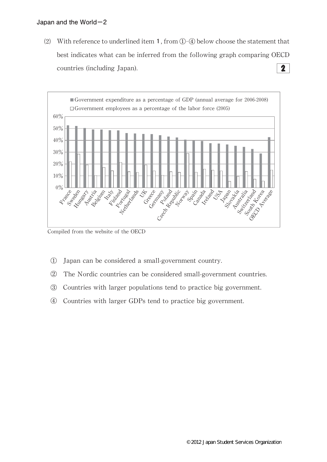(2) With reference to underlined item 1, from  $(1)$ - $(4)$  below choose the statement that best indicates what can be inferred from the following graph comparing OECD  $\mathbf{2}$ countries(including Japan).



Compiled from the website of the OECD

- ① Japan can be considered a small-government country.
- ② The Nordic countries can be considered small-government countries.
- ③ Countries with larger populations tend to practice big government.
- ④ Countries with larger GDPs tend to practice big government.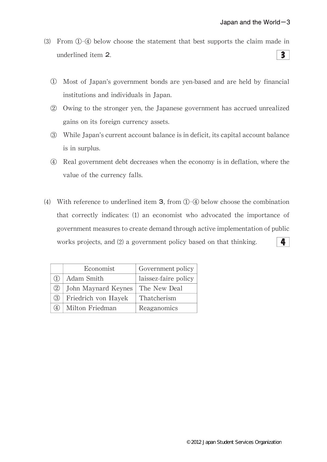- ⑶ From ①-④ below choose the statement that best supports the claim made in underlined item 2.  $3<sup>1</sup>$ 
	- ① Most of Japan's government bonds are yen-based and are held by financial institutions and individuals in Japan.
	- ② Owing to the stronger yen,the Japanese government has accrued unrealized gains on its foreign currency assets.
	- ③ While Japan's current account balance is in deficit,its capital account balance is in surplus.
	- ④ Real government debt decreases when the economy is in deflation,where the value of the currency falls.
- (4) With reference to underlined item  $3$ , from  $\textcircled{1}$ - $\textcircled{4}$  below choose the combination that correctly indicates:⑴ an economist who advocated the importance of government measures to create demand through active implementation of public works projects, and (2) a government policy based on that thinking. 4

|     | Economist           | Government policy    |
|-----|---------------------|----------------------|
|     | Adam Smith          | laissez-faire policy |
| (2) | John Maynard Keynes | The New Deal         |
| (3) | Friedrich von Hayek | Thatcherism          |
|     | Milton Friedman     | Reaganomics          |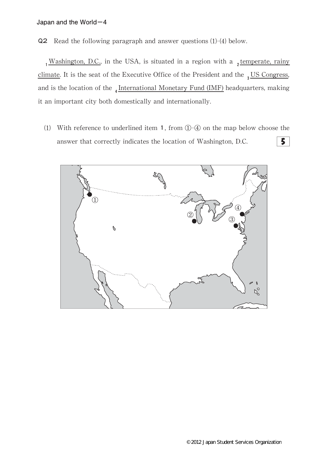Q2 Read the following paragraph and answer questions (1)-(4) below.

 $1$ <sup>Washington, D.C.</sup>, in the USA, is situated in a region with a  $2$  temperate, rainy climate. It is the seat of the Executive Office of the President and the  $\frac{3}{10}$  US Congress, and is the location of the  $_4$ International Monetary Fund (IMF) headquarters, making it an important city both domestically and internationally.

(1) With reference to underlined item 1, from  $(1)$ - $(4)$  on the map below choose the answer that correctly indicates the location of Washington, D.C.  $5<sup>1</sup>$ 

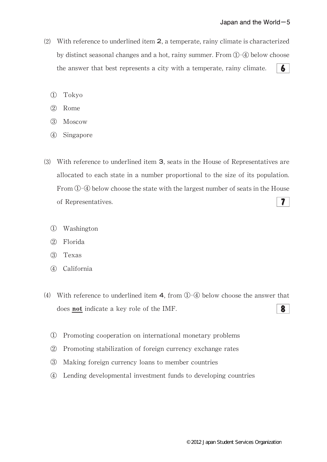- (2) With reference to underlined item  $2$ , a temperate, rainy climate is characterized by distinct seasonal changes and a hot, rainy summer. From  $\mathbb{O}$ - $\mathbb Q$  below choose the answer that best represents a city with a temperate, rainy climate.  $6<sup>1</sup>$ 
	- ① Tokyo
	- ② Rome
	- ③ Moscow
	- ④ Singapore
- (3) With reference to underlined item **3**, seats in the House of Representatives are allocated to each state in a number proportional to the size of its population. From①-④ below choose the state with the largest number of seats in the House  $7<sup>1</sup>$ of Representatives.
	- ① Washington
	- ② Florida
	- ③ Texas
	- ④ California
- (4) With reference to underlined item 4, from  $\hat{O}$ - $\hat{O}$  below choose the answer that does not indicate a key role of the IMF. 8
	- ① Promoting cooperation on international monetary problems
	- ② Promoting stabilization of foreign currency exchange rates
	- ③ Making foreign currency loans to member countries
	- ④ Lending developmental investment funds to developing countries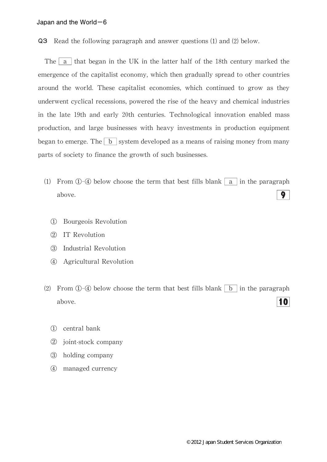Q3 Read the following paragraph and answer questions (1) and (2) below.

The  $\vert a \vert$  that began in the UK in the latter half of the 18th century marked the emergence of the capitalist economy, which then gradually spread to other countries around the world. These capitalist economies, which continued to grow as they underwent cyclical recessions, powered the rise of the heavy and chemical industries in the late 19th and early 20th centuries. Technological innovation enabled mass production,and large businesses with heavy investments in production equipment began to emerge. The  $\boxed{b}$  system developed as a means of raising money from many parts of society to finance the growth of such businesses.

- (1) From  $\Phi$ - $\Phi$  below choose the term that best fills blank a in the paragraph above. 9
	- ① Bourgeois Revolution
	- ② IT Revolution
	- ③ Industrial Revolution
	- ④ Agricultural Revolution
- (2) From  $\Phi$ - $\Phi$  below choose the term that best fills blank  $\Phi$  in the paragraph 10 above.
	- ① central bank
	- ② joint-stock company
	- ③ holding company
	- ④ managed currency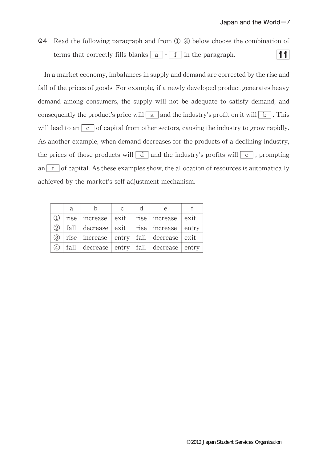Q4 Read the following paragraph and from ①-④ below choose the combination of  $|11|$ terms that correctly fills blanks  $|a|$  - f in the paragraph.

In a market economy, imbalances in supply and demand are corrected by the rise and fall of the prices of goods. For example, if a newly developed product generates heavy demand among consumers, the supply will not be adequate to satisfy demand, and consequently the product's price will  $\boxed{a}$  and the industry's profit on it will  $\boxed{b}$ . This will lead to an  $c \cdot$  of capital from other sectors, causing the industry to grow rapidly. As another example, when demand decreases for the products of a declining industry, the prices of those products will  $\boxed{d}$  and the industry's profits will  $\boxed{e}$ , prompting an  $\left| \int f \right|$  of capital. As these examples show, the allocation of resources is automatically achieved by the market's self-adjustment mechanism.

|          | a |                                                             | $\mathcal{C}$ | $\mathbf d$ |  |
|----------|---|-------------------------------------------------------------|---------------|-------------|--|
| $\Omega$ |   | rise   increase   exit   rise   increase   exit             |               |             |  |
|          |   | $\Omega$   fall   decrease   exit   rise   increase   entry |               |             |  |
| (3)      |   | rise increase entry fall decrease exit                      |               |             |  |
| (4)      |   | fall $ $ decrease $ $ entry $ $ fall $ $ decrease $ $ entry |               |             |  |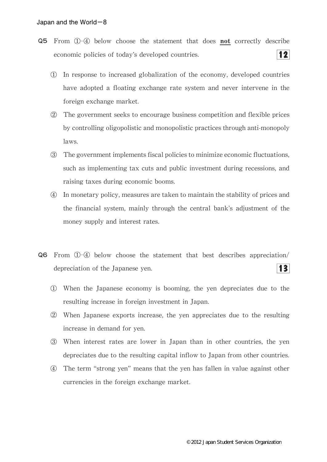- Q5 From ①-④ below choose the statement that does not correctly describe  $|12|$ economic policies of today's developed countries.
	- ① In response to increased globalization of the economy,developed countries have adopted a floating exchange rate system and never intervene in the foreign exchange market.
	- ② The government seeks to encourage business competition and flexible prices by controlling oligopolistic and monopolistic practices through anti-monopoly laws.
	- ③ The government implements fiscal policies to minimize economic fluctuations, such as implementing tax cuts and public investment during recessions, and raising taxes during economic booms.
	- ④ In monetary policy,measures are taken to maintain the stability of prices and the financial system, mainly through the central bank's adjustment of the money supply and interest rates.
- Q6 From ①-④ below choose the statement that best describes appreciation/  $|3|$ depreciation of the Japanese yen.
	- ① When the Japanese economy is booming,the yen depreciates due to the resulting increase in foreign investment in Japan.
	- ② When Japanese exports increase,the yen appreciates due to the resulting increase in demand for yen.
	- ③ When interest rates are lower in Japan than in other countries,the yen depreciates due to the resulting capital inflow to Japan from other countries.
	- ④ The term "strong yen"means that the yen has fallen in value against other currencies in the foreign exchange market.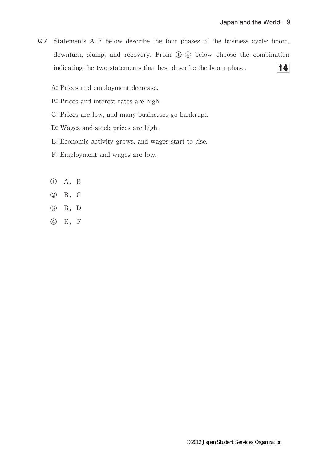- Q7 Statements A-F below describe the four phases of the business cycle:boom, downturn, slump, and recovery. From ①-④ below choose the combination  $|14|$ indicating the two statements that best describe the boom phase.
	- A: Prices and employment decrease.
	- B: Prices and interest rates are high.
	- C: Prices are low, and many businesses go bankrupt.
	- D:Wages and stock prices are high.
	- E: Economic activity grows, and wages start to rise.
	- F: Employment and wages are low.
	- ① A,E
	- ② B,C
	- ③ B,D
	- ④ E,F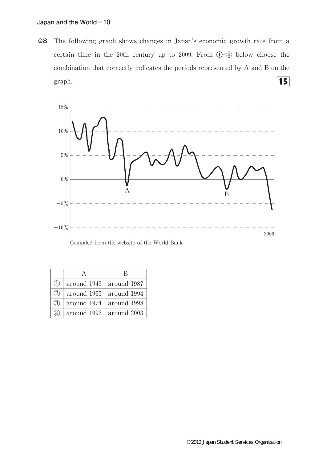Q8 The following graph shows changes in Japan's economic growth rate from a certain time in the 20th century up to 2009. From ①-④ below choose the combination that correctly indicates the periods represented by A and B on the  $15$ graph.



Compiled from the website of the World Bank

|     |             | К           |
|-----|-------------|-------------|
| (1) | around 1945 | around 1987 |
| (2) | around 1965 | around 1994 |
| (3) | around 1974 | around 1998 |
|     | around 1992 | around 2003 |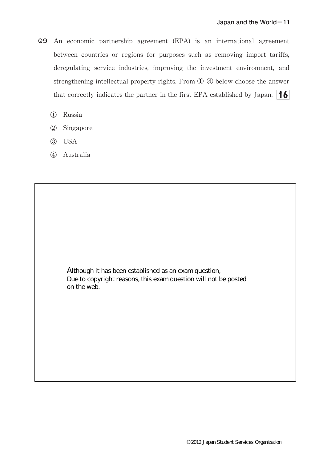- Q9 An economic partnership agreement(EPA)is an international agreement between countries or regions for purposes such as removing import tariffs, deregulating service industries, improving the investment environment, and strengthening intellectual property rights. From ①-4 below choose the answer that correctly indicates the partner in the first EPA established by Japan.  $\left| \bullet \right|$ 
	- ① Russia
	- ② Singapore
	- ③ USA
	- ④ Australia

Due to copyright reasons, this exam question will not be posted Although it has been established as an exam question, on the web.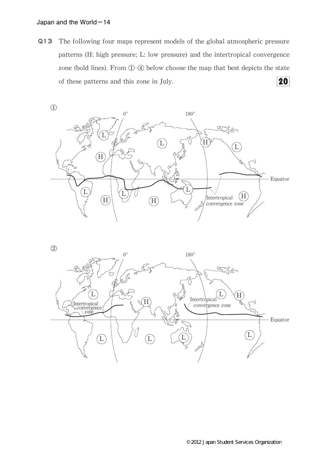Q13 The following four maps represent models of the global atmospheric pressure patterns (H: high pressure; L: low pressure) and the intertropical convergence zone (bold lines). From  $\mathbb{O}-\mathbb{Q}$  below choose the map that best depicts the state of these patterns and this zone in July. 20



②

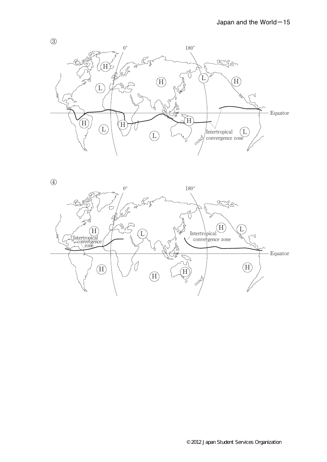



③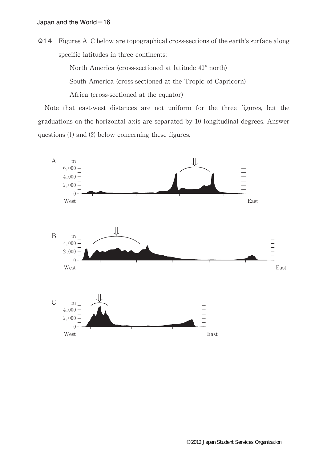Q14 Figures A-C below are topographical cross-sections of the earth's surface along specific latitudes in three continents:

North America (cross-sectioned at latitude 40° north)

South America (cross-sectioned at the Tropic of Capricorn)

Africa (cross-sectioned at the equator)

Note that east-west distances are not uniform for the three figures, but the graduations on the horizontal axis are separated by 10 longitudinal degrees.Answer questions (1) and (2) below concerning these figures.

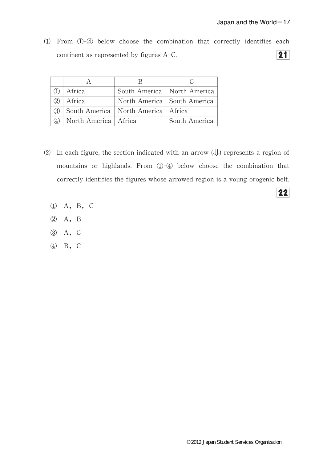$\overline{22}$ 

⑴ From ①-④ below choose the combination that correctly identifies each  $\overline{\mathbf{21}}$ continent as represented by figures A-C.

|     | Africa                     | South America   North America          |               |
|-----|----------------------------|----------------------------------------|---------------|
| (2) | Africa                     | North America   South America          |               |
| 3   |                            | South America   North America   Africa |               |
|     | 4   North America   Africa |                                        | South America |

- (2) In each figure, the section indicated with an arrow  $(\downarrow)$  represents a region of mountains or highlands. From ①-4 below choose the combination that correctly identifies the figures whose arrowed region is a young orogenic belt.
	- ① A,B,C
	- ② A,B
	- ③ A,C
	- ④ B,C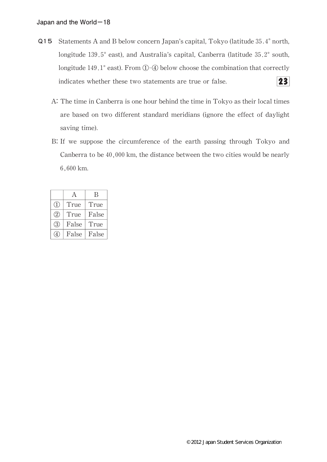- Q15 Statements A and B below concern Japan's capital, Tokyo (latitude 35.4° north, longitude 139.5° east), and Australia's capital, Canberra (latitude 35.2° south, longitude 149.1 $^{\circ}$  east). From  $\overline{0}$ - $\overline{4}$  below choose the combination that correctly 23 indicates whether these two statements are true or false.
	- A:The time in Canberra is one hour behind the time in Tokyo as their local times are based on two different standard meridians (ignore the effect of daylight saving time).
	- B:If we suppose the circumference of the earth passing through Tokyo and Canberra to be  $40,000$  km, the distance between the two cities would be nearly 6,600 km.

|                  | А     | В     |
|------------------|-------|-------|
| $\left(1\right)$ | True  | True  |
| (2)              | True  | False |
| 3                | False | True  |
|                  | False | False |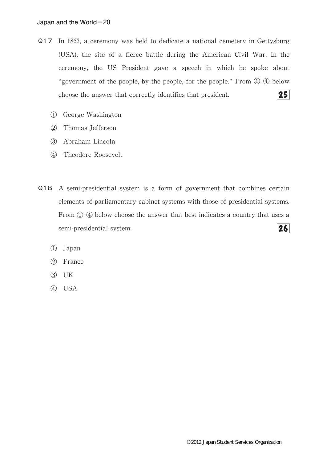- Q17 In 1863, a ceremony was held to dedicate a national cemetery in Gettysburg (USA), the site of a fierce battle during the American Civil War. In the ceremony, the US President gave a speech in which he spoke about "government of the people, by the people, for the people." From  $\mathbb{O}$ - $\mathbb{Q}$  below choose the answer that correctly identifies that president.  $25$ 
	- ① George Washington
	- ② Thomas Jefferson
	- ③ Abraham Lincoln
	- ④ Theodore Roosevelt
- Q18 A semi-presidential system is a form of government that combines certain elements of parliamentary cabinet systems with those of presidential systems. From  $(1)$ - $(4)$  below choose the answer that best indicates a country that uses a  $26<sup>l</sup>$ semi-presidential system.
	- ① Japan
	- ② France
	- ③ UK
	- ④ USA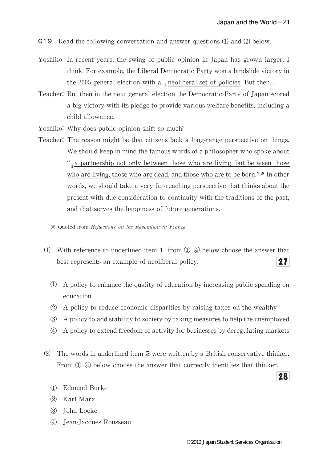Q19 Read the following conversation and answer questions (1) and (2) below.

- Yoshiko: In recent years, the swing of public opinion in Japan has grown larger, I think. For example, the Liberal Democratic Party won a landslide victory in the 2005 general election with a  $_1$  neoliberal set of policies. But then...
- Teacher: But then in the next general election the Democratic Party of Japan scored a big victory with its pledge to provide various welfare benefits, including a child allowance.
- Yoshiko: Why does public opinion shift so much?
- Teacher: The reason might be that citizens lack a long-range perspective on things. We should keep in mind the famous words of a philosopher who spoke about ", a partnership not only between those who are living, but between those who are living, those who are dead, and those who are to be born."\* In other words, we should take a very far-reaching perspective that thinks about the present with due consideration to continuity with the traditions of the past, and that serves the happiness of future generations.
	- ※ Quoted from Reflections on the Revolution in France
	- (1) With reference to underlined item 1, from  $(1)$ - $(4)$  below choose the answer that best represents an example of neoliberal policy.  $27<sub>l</sub>$ 
		- ① A policy to enhance the quality of education by increasing public spending on education
		- ② A policy to reduce economic disparities by raising taxes on the wealthy
		- ③ A policy to add stability to society by taking measures to help the unemployed
		- ④ A policy to extend freedom of activity for businesses by deregulating markets
	- ⑵ The words in underlined item 2 were written by a British conservative thinker. From ①-④ below choose the answer that correctly identifies that thinker.
		- ① Edmund Burke
		- ② Karl Marx
		- ③ John Locke
		- ④ Jean-Jacques Rousseau

28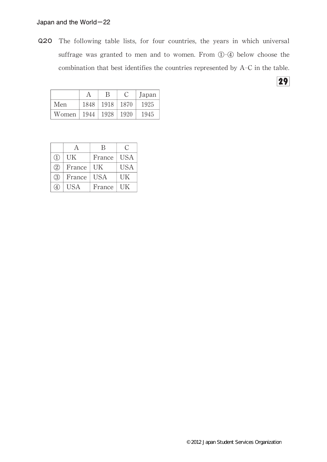Q20 The following table lists, for four countries, the years in which universal suffrage was granted to men and to women. From ①-4 below choose the combination that best identifies the countries represented by A-C in the table.

|                            |      | В           | Japan |
|----------------------------|------|-------------|-------|
| Men                        | 1848 | 1918   1870 | 1925  |
| Women   1944   1928   1920 |      |             | 1945  |

|              | $\forall$  | В          | €          |
|--------------|------------|------------|------------|
| $\mathbb{I}$ | <b>UK</b>  | France     | <b>USA</b> |
| (2)          | France     | UK         | <b>USA</b> |
| $\circ$ 3    | France     | <b>USA</b> | UK         |
|              | <b>USA</b> | France     | UК         |

29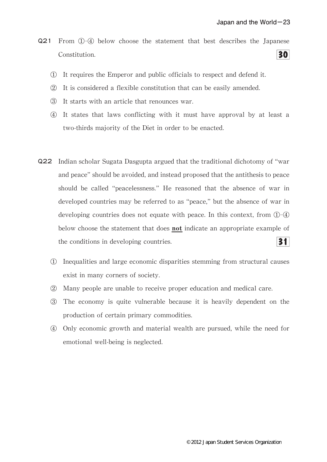- Q21 From ①-④ below choose the statement that best describes the Japanese Constitution. 30
	- ① It requires the Emperor and public officials to respect and defend it.
	- ② It is considered a flexible constitution that can be easily amended.
	- ③ It starts with an article that renounces war.
	- ④ It states that laws conflicting with it must have approval by at least a two-thirds majority of the Diet in order to be enacted.
- Q22 Indian scholar Sugata Dasgupta argued that the traditional dichotomy of"war and peace" should be avoided, and instead proposed that the antithesis to peace should be called"peacelessness."He reasoned that the absence of war in developed countries may be referred to as "peace," but the absence of war in developing countries does not equate with peace. In this context, from  $(1)$ – $(4)$ below choose the statement that does not indicate an appropriate example of the conditions in developing countries. 31
	- ① Inequalities and large economic disparities stemming from structural causes exist in many corners of society.
	- ② Many people are unable to receive proper education and medical care.
	- ③ The economy is quite vulnerable because it is heavily dependent on the production of certain primary commodities.
	- ④ Only economic growth and material wealth are pursued,while the need for emotional well-being is neglected.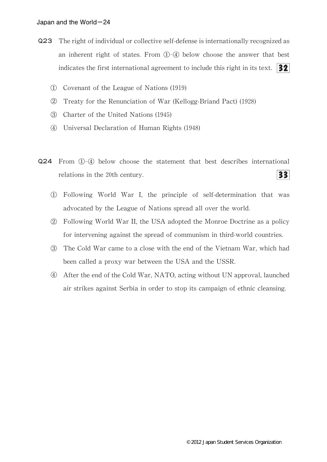- Q23 The right of individual or collective self-defense is internationally recognized as an inherent right of states. From  $(D-Q)$  below choose the answer that best indicates the first international agreement to include this right in its text.  $\left| \frac{32}{2} \right|$ 
	- ① Covenant of the League of Nations(1919)
	- ② Treaty for the Renunciation of War(Kellogg-Briand Pact)(1928)
	- ③ Charter of the United Nations(1945)
	- ④ Universal Declaration of Human Rights(1948)
- Q24 From ①-④ below choose the statement that best describes international relations in the 20th century. 331
	- ① Following World War I,the principle of self-determination that was advocated by the League of Nations spread all over the world.
	- ② Following World War II,the USA adopted the Monroe Doctrine as a policy for intervening against the spread of communism in third-world countries.
	- ③ The Cold War came to a close with the end of the Vietnam War,which had been called a proxy war between the USA and the USSR.
	- ④ After the end of the Cold War,NATO,acting without UN approval,launched air strikes against Serbia in order to stop its campaign of ethnic cleansing.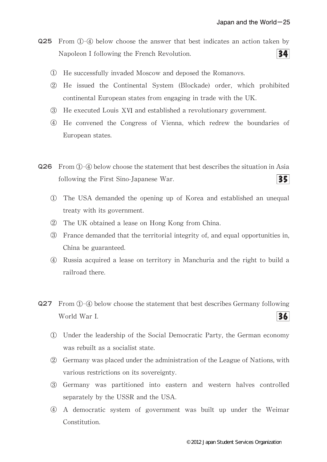Q25 From ①-④ below choose the answer that best indicates an action taken by  $34$ Napoleon I following the French Revolution.

- ① He successfully invaded Moscow and deposed the Romanovs.
- ② He issued the Continental System (Blockade)order,which prohibited continental European states from engaging in trade with the UK.
- ③ He executed LouisⅩ and established a revolutionary government.
- ④ He convened the Congress of Vienna,which redrew the boundaries of European states.
- Q26 From①-④ below choose the statement that best describes the situation in Asia  $35<sub>1</sub>$ following the First Sino-Japanese War.
	- ① The USA demanded the opening up of Korea and established an unequal treaty with its government.
	- ② The UK obtained a lease on Hong Kong from China.
	- ③ France demanded that the territorial integrity of,and equal opportunities in, China be guaranteed.
	- ④ Russia acquired a lease on territory in Manchuria and the right to build a railroad there.
- Q27 From ①-④ below choose the statement that best describes Germany following World War I. 36
	- ① Under the leadership of the Social Democratic Party,the German economy was rebuilt as a socialist state.
	- ② Germany was placed under the administration of the League of Nations,with various restrictions on its sovereignty.
	- ③ Germany was partitioned into eastern and western halves controlled separately by the USSR and the USA.
	- ④ A democratic system of government was built up under the Weimar Constitution.